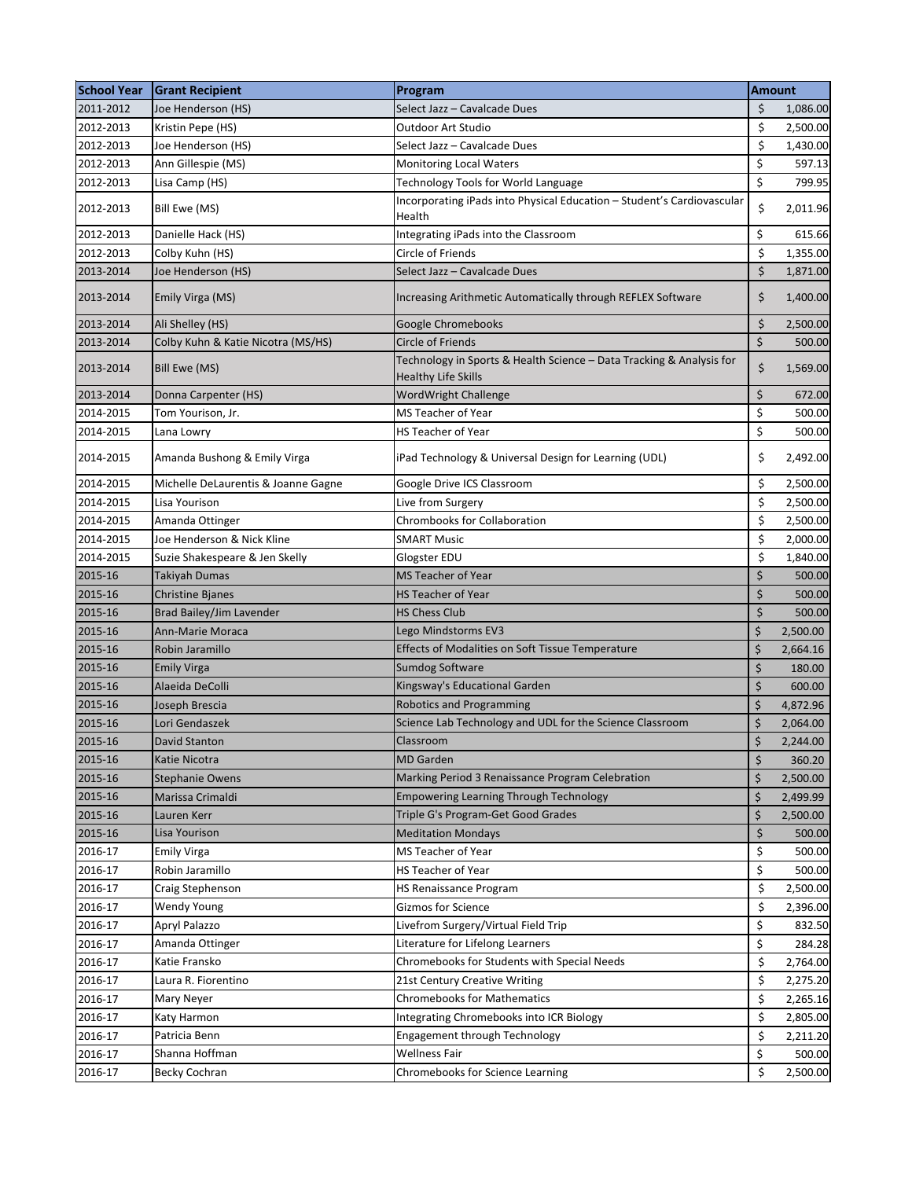| <b>School Year</b> | <b>Grant Recipient</b>              | Program                                                                                     | <b>Amount</b> |          |
|--------------------|-------------------------------------|---------------------------------------------------------------------------------------------|---------------|----------|
| 2011-2012          | Joe Henderson (HS)                  | Select Jazz – Cavalcade Dues                                                                | \$            | 1,086.00 |
| 2012-2013          | Kristin Pepe (HS)                   | Outdoor Art Studio                                                                          | \$            | 2,500.00 |
| 2012-2013          | Joe Henderson (HS)                  | Select Jazz – Cavalcade Dues                                                                | \$            | 1,430.00 |
| 2012-2013          | Ann Gillespie (MS)                  | <b>Monitoring Local Waters</b>                                                              | \$            | 597.13   |
| 2012-2013          | Lisa Camp (HS)                      | Technology Tools for World Language                                                         | \$            | 799.95   |
| 2012-2013          | Bill Ewe (MS)                       | Incorporating iPads into Physical Education - Student's Cardiovascular<br>Health            | \$            | 2,011.96 |
| 2012-2013          | Danielle Hack (HS)                  | Integrating iPads into the Classroom                                                        | \$            | 615.66   |
| 2012-2013          | Colby Kuhn (HS)                     | Circle of Friends                                                                           | \$            | 1,355.00 |
| 2013-2014          | Joe Henderson (HS)                  | Select Jazz - Cavalcade Dues                                                                | \$            | 1,871.00 |
| 2013-2014          | Emily Virga (MS)                    | Increasing Arithmetic Automatically through REFLEX Software                                 | \$            | 1,400.00 |
| 2013-2014          | Ali Shelley (HS)                    | Google Chromebooks                                                                          | \$            | 2,500.00 |
| 2013-2014          | Colby Kuhn & Katie Nicotra (MS/HS)  | Circle of Friends                                                                           | \$            | 500.00   |
| 2013-2014          | Bill Ewe (MS)                       | Technology in Sports & Health Science - Data Tracking & Analysis for<br>Healthy Life Skills | \$            | 1,569.00 |
| 2013-2014          | Donna Carpenter (HS)                | <b>WordWright Challenge</b>                                                                 | $\zeta$       | 672.00   |
| 2014-2015          | Tom Yourison, Jr.                   | MS Teacher of Year                                                                          | \$            | 500.00   |
| 2014-2015          | Lana Lowry                          | <b>HS Teacher of Year</b>                                                                   | \$            | 500.00   |
| 2014-2015          | Amanda Bushong & Emily Virga        | iPad Technology & Universal Design for Learning (UDL)                                       | \$            | 2,492.00 |
| 2014-2015          | Michelle DeLaurentis & Joanne Gagne | Google Drive ICS Classroom                                                                  | \$            | 2,500.00 |
| 2014-2015          | Lisa Yourison                       | Live from Surgery                                                                           | \$            | 2,500.00 |
| 2014-2015          | Amanda Ottinger                     | <b>Chrombooks for Collaboration</b>                                                         | \$            | 2,500.00 |
| 2014-2015          | Joe Henderson & Nick Kline          | <b>SMART Music</b>                                                                          | \$            | 2,000.00 |
| 2014-2015          | Suzie Shakespeare & Jen Skelly      | Glogster EDU                                                                                | \$            | 1,840.00 |
| 2015-16            | <b>Takiyah Dumas</b>                | <b>MS Teacher of Year</b>                                                                   | \$            | 500.00   |
| 2015-16            | <b>Christine Bjanes</b>             | <b>HS Teacher of Year</b>                                                                   | \$            | 500.00   |
| 2015-16            | Brad Bailey/Jim Lavender            | <b>HS Chess Club</b>                                                                        | $\zeta$       | 500.00   |
| 2015-16            | Ann-Marie Moraca                    | Lego Mindstorms EV3                                                                         | \$            | 2,500.00 |
| 2015-16            | Robin Jaramillo                     | Effects of Modalities on Soft Tissue Temperature                                            | \$            | 2,664.16 |
| 2015-16            | Emily Virga                         | <b>Sumdog Software</b>                                                                      | \$            | 180.00   |
| 2015-16            | Alaeida DeColli                     | Kingsway's Educational Garden                                                               | \$            | 600.00   |
| 2015-16            | Joseph Brescia                      | <b>Robotics and Programming</b>                                                             | \$            | 4,872.96 |
| 2015-16            | Lori Gendaszek                      | Science Lab Technology and UDL for the Science Classroom                                    | \$            | 2,064.00 |
| 2015-16            | David Stanton                       | Classroom                                                                                   | \$            | 2,244.00 |
| 2015-16            | Katie Nicotra                       | <b>MD</b> Garden                                                                            | \$            | 360.20   |
| 2015-16            | <b>Stephanie Owens</b>              | Marking Period 3 Renaissance Program Celebration                                            | \$            | 2,500.00 |
| 2015-16            | Marissa Crimaldi                    | <b>Empowering Learning Through Technology</b>                                               | \$            | 2,499.99 |
| 2015-16            | Lauren Kerr                         | Triple G's Program-Get Good Grades                                                          | \$            | 2,500.00 |
| 2015-16            | Lisa Yourison                       | <b>Meditation Mondays</b>                                                                   | \$            | 500.00   |
| 2016-17            | <b>Emily Virga</b>                  | MS Teacher of Year                                                                          | \$            | 500.00   |
| 2016-17            | Robin Jaramillo                     | HS Teacher of Year                                                                          | \$            | 500.00   |
| 2016-17            | Craig Stephenson                    | <b>HS Renaissance Program</b>                                                               | \$            | 2,500.00 |
| 2016-17            | <b>Wendy Young</b>                  | Gizmos for Science                                                                          | \$            | 2,396.00 |
| 2016-17            | Apryl Palazzo                       | Livefrom Surgery/Virtual Field Trip                                                         | \$            | 832.50   |
| 2016-17            | Amanda Ottinger                     | Literature for Lifelong Learners                                                            | \$            | 284.28   |
| 2016-17            | Katie Fransko                       | Chromebooks for Students with Special Needs                                                 | \$            | 2,764.00 |
| 2016-17            | Laura R. Fiorentino                 | 21st Century Creative Writing                                                               | \$            | 2,275.20 |
| 2016-17            | Mary Neyer                          | <b>Chromebooks for Mathematics</b>                                                          | \$            | 2,265.16 |
| 2016-17            | Katy Harmon                         | Integrating Chromebooks into ICR Biology                                                    | \$            | 2,805.00 |
| 2016-17            | Patricia Benn                       | <b>Engagement through Technology</b>                                                        | \$            | 2,211.20 |
| 2016-17            | Shanna Hoffman                      | Wellness Fair                                                                               | \$            | 500.00   |
| 2016-17            | <b>Becky Cochran</b>                | <b>Chromebooks for Science Learning</b>                                                     | \$            | 2,500.00 |